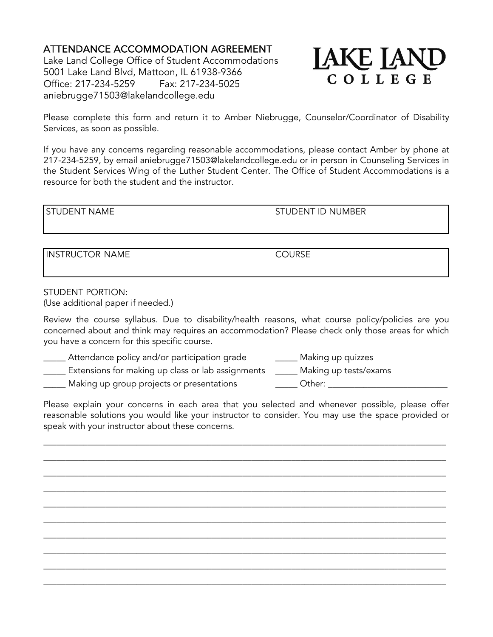## ATTENDANCE ACCOMMODATION AGREEMENT

Lake Land College Office of Student Accommodations 5001 Lake Land Blvd, Mattoon, IL 61938-9366 Office: 217-234-5259 Fax: 217-234-5025 aniebrugge71503@lakelandcollege.edu



Please complete this form and return it to Amber Niebrugge, Counselor/Coordinator of Disability Services, as soon as possible.

If you have any concerns regarding reasonable accommodations, please contact Amber by phone at 217-234-5259, by email aniebrugge71503@lakelandcollege.edu or in person in Counseling Services in the Student Services Wing of the Luther Student Center. The Office of Student Accommodations is a resource for both the student and the instructor.

## STUDENT NAME STUDENT ID NUMBER

INSTRUCTOR NAME COURSE

STUDENT PORTION: (Use additional paper if needed.)

Review the course syllabus. Due to disability/health reasons, what course policy/policies are you concerned about and think may requires an accommodation? Please check only those areas for which you have a concern for this specific course.

\_\_\_\_\_ Attendance policy and/or participation grade \_\_\_\_\_ Making up quizzes

\_\_\_\_\_ Extensions for making up class or lab assignments \_\_\_\_\_ Making up tests/exams

\_\_\_\_\_ Making up group projects or presentations \_\_\_\_\_ Other: \_\_\_\_\_\_\_\_\_\_\_\_\_\_\_\_\_\_\_\_\_\_\_\_\_\_\_

Please explain your concerns in each area that you selected and whenever possible, please offer reasonable solutions you would like your instructor to consider. You may use the space provided or speak with your instructor about these concerns.